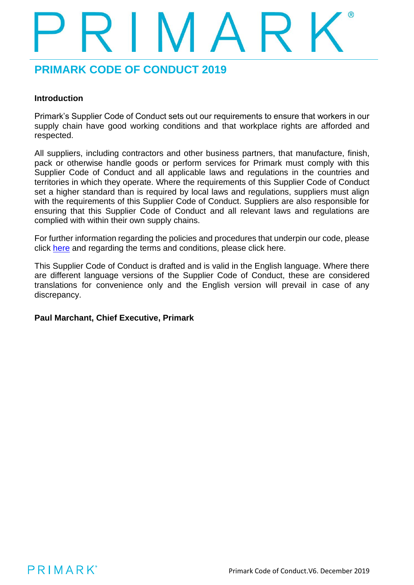### **Introduction**

Primark's Supplier Code of Conduct sets out our requirements to ensure that workers in our supply chain have good working conditions and that workplace rights are afforded and respected.

All suppliers, including contractors and other business partners, that manufacture, finish, pack or otherwise handle goods or perform services for Primark must comply with this Supplier Code of Conduct and all applicable laws and regulations in the countries and territories in which they operate. Where the requirements of this Supplier Code of Conduct set a higher standard than is required by local laws and regulations, suppliers must align with the requirements of this Supplier Code of Conduct. Suppliers are also responsible for ensuring that this Supplier Code of Conduct and all relevant laws and regulations are complied with within their own supply chains.

For further information regarding the policies and procedures that underpin our code, please click [here](https://www.primark.com/en/our-ethics/setting-high-standards/our-policies) and regarding the terms and conditions, please click here.

This Supplier Code of Conduct is drafted and is valid in the English language. Where there are different language versions of the Supplier Code of Conduct, these are considered translations for convenience only and the English version will prevail in case of any discrepancy.

### **Paul Marchant, Chief Executive, Primark**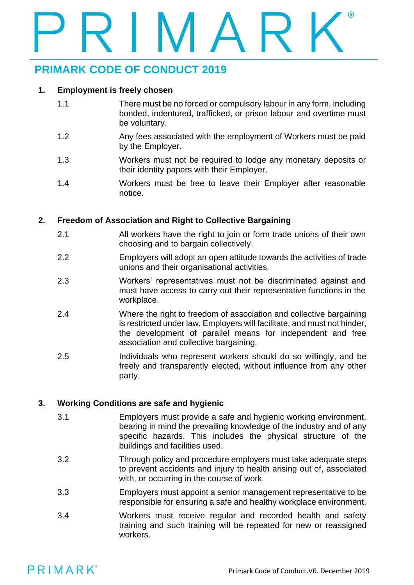### **1. Employment is freely chosen**

- 1.1 There must be no forced or compulsory labour in any form, including bonded, indentured, trafficked, or prison labour and overtime must be voluntary.
- 1.2 Any fees associated with the employment of Workers must be paid by the Employer.
- 1.3 Workers must not be required to lodge any monetary deposits or their identity papers with their Employer.
- 1.4 Workers must be free to leave their Employer after reasonable notice.

### **2. Freedom of Association and Right to Collective Bargaining**

- 2.1 All workers have the right to join or form trade unions of their own choosing and to bargain collectively.
- 2.2 Employers will adopt an open attitude towards the activities of trade unions and their organisational activities.
- 2.3 Workers' representatives must not be discriminated against and must have access to carry out their representative functions in the workplace.
- 2.4 Where the right to freedom of association and collective bargaining is restricted under law, Employers will facilitate, and must not hinder, the development of parallel means for independent and free association and collective bargaining.
- 2.5 Individuals who represent workers should do so willingly, and be freely and transparently elected, without influence from any other party.

### **3. Working Conditions are safe and hygienic**

- 3.1 Employers must provide a safe and hygienic working environment, bearing in mind the prevailing knowledge of the industry and of any specific hazards. This includes the physical structure of the buildings and facilities used.
- 3.2 Through policy and procedure employers must take adequate steps to prevent accidents and injury to health arising out of, associated with, or occurring in the course of work.
- 3.3 Employers must appoint a senior management representative to be responsible for ensuring a safe and healthy workplace environment.
- 3.4 Workers must receive regular and recorded health and safety training and such training will be repeated for new or reassigned workers.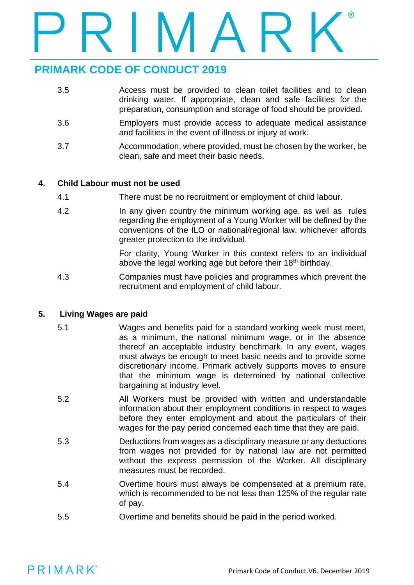- 3.5 Access must be provided to clean toilet facilities and to clean drinking water. If appropriate, clean and safe facilities for the preparation, consumption and storage of food should be provided.
- 3.6 Employers must provide access to adequate medical assistance and facilities in the event of illness or injury at work.
- 3.7 Accommodation, where provided, must be chosen by the worker, be clean, safe and meet their basic needs.

### **4. Child Labour must not be used**

- 4.1 There must be no recruitment or employment of child labour.
- 4.2 In any given country the minimum working age, as well as rules regarding the employment of a Young Worker will be defined by the conventions of the ILO or national/regional law, whichever affords greater protection to the individual.

For clarity, Young Worker in this context refers to an individual above the legal working age but before their 18<sup>th</sup> birthday.

4.3 Companies must have policies and programmes which prevent the recruitment and employment of child labour.

### **5. Living Wages are paid**

- 5.1 Wages and benefits paid for a standard working week must meet, as a minimum, the national minimum wage, or in the absence thereof an acceptable industry benchmark. In any event, wages must always be enough to meet basic needs and to provide some discretionary income. Primark actively supports moves to ensure that the minimum wage is determined by national collective bargaining at industry level.
- 5.2 All Workers must be provided with written and understandable information about their employment conditions in respect to wages before they enter employment and about the particulars of their wages for the pay period concerned each time that they are paid.
- 5.3 Deductions from wages as a disciplinary measure or any deductions from wages not provided for by national law are not permitted without the express permission of the Worker. All disciplinary measures must be recorded.
- 5.4 Overtime hours must always be compensated at a premium rate, which is recommended to be not less than 125% of the regular rate of pay.
- 5.5 Overtime and benefits should be paid in the period worked.

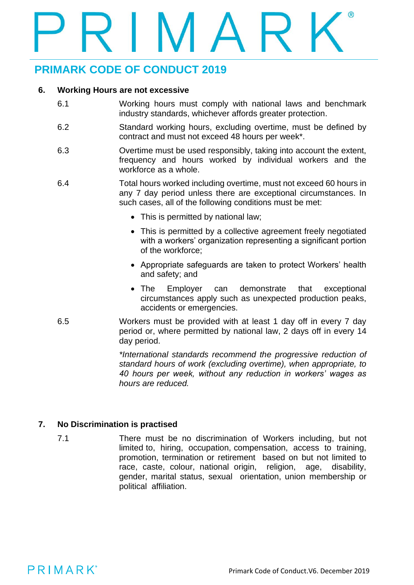### **6. Working Hours are not excessive**

- 6.1 Working hours must comply with national laws and benchmark industry standards, whichever affords greater protection.
- 6.2 Standard working hours, excluding overtime, must be defined by contract and must not exceed 48 hours per week\*.
- 6.3 Overtime must be used responsibly, taking into account the extent, frequency and hours worked by individual workers and the workforce as a whole.
- 6.4 Total hours worked including overtime, must not exceed 60 hours in any 7 day period unless there are exceptional circumstances. In such cases, all of the following conditions must be met:
	- This is permitted by national law;
	- This is permitted by a collective agreement freely negotiated with a workers' organization representing a significant portion of the workforce;
	- Appropriate safeguards are taken to protect Workers' health and safety; and
	- The Employer can demonstrate that exceptional circumstances apply such as unexpected production peaks, accidents or emergencies.
- 6.5 Workers must be provided with at least 1 day off in every 7 day period or, where permitted by national law, 2 days off in every 14 day period.

*\*International standards recommend the progressive reduction of standard hours of work (excluding overtime), when appropriate, to 40 hours per week, without any reduction in workers' wages as hours are reduced.*

### **7. No Discrimination is practised**

7.1 There must be no discrimination of Workers including, but not limited to, hiring, occupation, compensation, access to training, promotion, termination or retirement based on but not limited to race, caste, colour, national origin, religion, age, disability, gender, marital status, sexual orientation, union membership or political affiliation.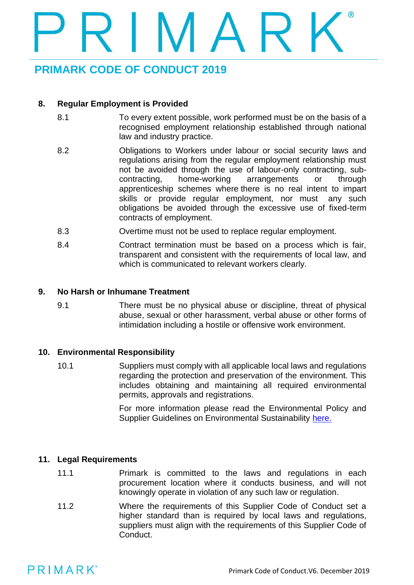### **8. Regular Employment is Provided**

- 8.1 To every extent possible, work performed must be on the basis of a recognised employment relationship established through national law and industry practice.
- 8.2 Obligations to Workers under labour or social security laws and regulations arising from the regular employment relationship must not be avoided through the use of labour-only contracting, subcontracting, home-working arrangements or through apprenticeship schemes where there is no real intent to impart skills or provide regular employment, nor must any such obligations be avoided through the excessive use of fixed-term contracts of employment.
- 8.3 Overtime must not be used to replace regular employment.
- 8.4 Contract termination must be based on a process which is fair, transparent and consistent with the requirements of local law, and which is communicated to relevant workers clearly.

### **9. No Harsh or Inhumane Treatment**

9.1 There must be no physical abuse or discipline, threat of physical abuse, sexual or other harassment, verbal abuse or other forms of intimidation including a hostile or offensive work environment.

### **10. Environmental Responsibility**

10.1 Suppliers must comply with all applicable local laws and regulations regarding the protection and preservation of the environment. This includes obtaining and maintaining all required environmental permits, approvals and registrations.

> For more information please read the Environmental Policy and Supplier Guidelines on Environmental Sustainability [here.](https://primark.a.bigcontent.io/v1/static/Environmental-Policy)

### **11. Legal Requirements**

- 11.1 Primark is committed to the laws and regulations in each procurement location where it conducts business, and will not knowingly operate in violation of any such law or regulation.
- 11.2 Where the requirements of this Supplier Code of Conduct set a higher standard than is required by local laws and regulations, suppliers must align with the requirements of this Supplier Code of Conduct.

# PRIMARK®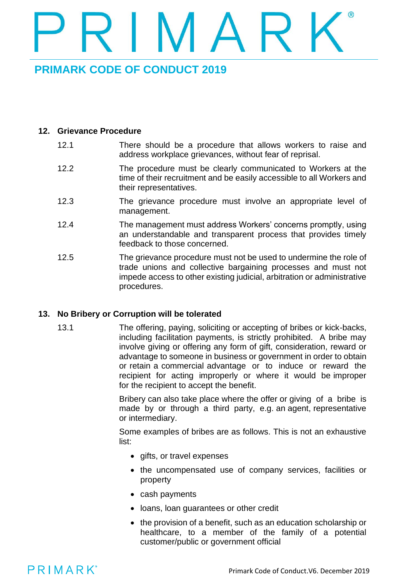### **12. Grievance Procedure**

- 12.1 There should be a procedure that allows workers to raise and address workplace grievances, without fear of reprisal.
- 12.2 The procedure must be clearly communicated to Workers at the time of their recruitment and be easily accessible to all Workers and their representatives.
- 12.3 The grievance procedure must involve an appropriate level of management.
- 12.4 The management must address Workers' concerns promptly, using an understandable and transparent process that provides timely feedback to those concerned.
- 12.5 The grievance procedure must not be used to undermine the role of trade unions and collective bargaining processes and must not impede access to other existing judicial, arbitration or administrative procedures.

### **13. No Bribery or Corruption will be tolerated**

13.1 The offering, paying, soliciting or accepting of bribes or kick-backs, including facilitation payments, is strictly prohibited. A bribe may involve giving or offering any form of gift, consideration, reward or advantage to someone in business or government in order to obtain or retain a commercial advantage or to induce or reward the recipient for acting improperly or where it would be improper for the recipient to accept the benefit.

> Bribery can also take place where the offer or giving of a bribe is made by or through a third party, e.g. an agent, representative or intermediary.

> Some examples of bribes are as follows. This is not an exhaustive list:

- gifts, or travel expenses
- the uncompensated use of company services, facilities or property
- cash payments
- loans, loan guarantees or other credit
- the provision of a benefit, such as an education scholarship or healthcare, to a member of the family of a potential customer/public or government official

## PRIMARK®